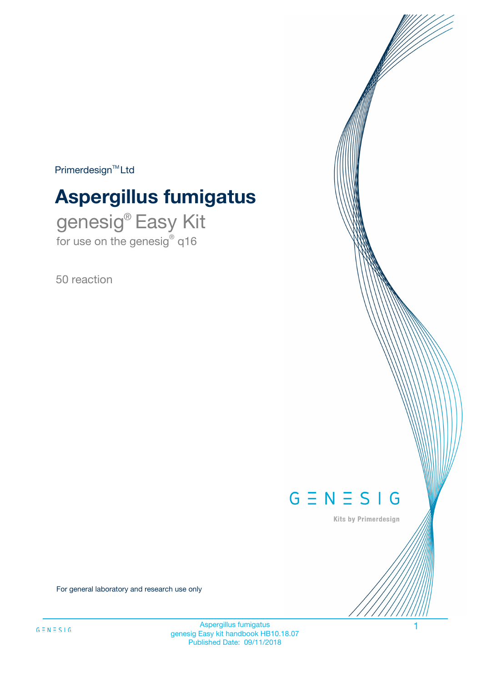$Primerdesign^{\text{TM}}Ltd$ 

# **Aspergillus fumigatus**

genesig® Easy Kit for use on the genesig® q16

50 reaction



Kits by Primerdesign

For general laboratory and research use only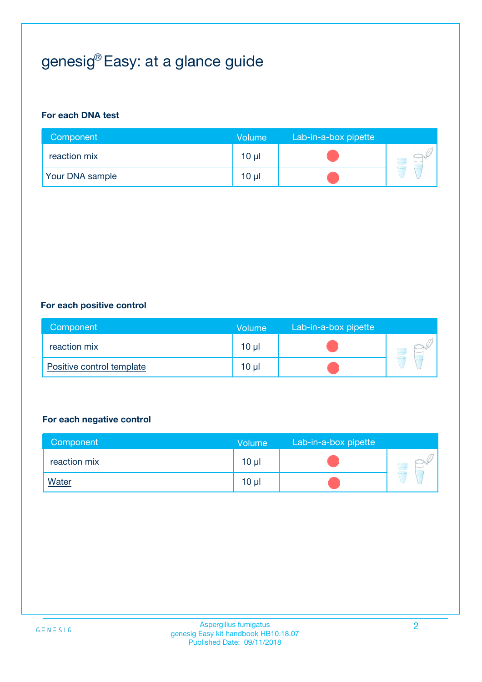# genesig® Easy: at a glance guide

#### **For each DNA test**

| Component              | <b>Volume</b> | Lab-in-a-box pipette |  |
|------------------------|---------------|----------------------|--|
| reaction mix           | $10 \mu$      |                      |  |
| <b>Your DNA sample</b> | $10 \mu$      |                      |  |

#### **For each positive control**

| Component                 | <b>Volume</b>   | Lab-in-a-box pipette |  |
|---------------------------|-----------------|----------------------|--|
| reaction mix              | 10 <sub>µ</sub> |                      |  |
| Positive control template | $10 \mu$        |                      |  |

#### **For each negative control**

| Component    | Volume          | Lab-in-a-box pipette |  |
|--------------|-----------------|----------------------|--|
| reaction mix | $10 \mu$        |                      |  |
| <b>Water</b> | 10 <sub>µ</sub> |                      |  |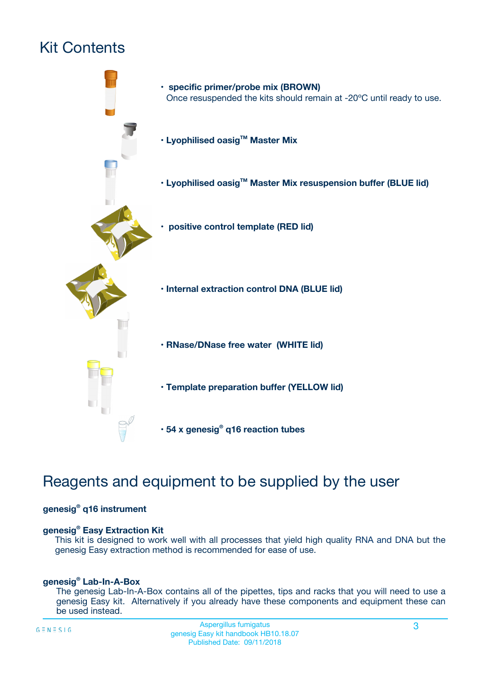# Kit Contents



## Reagents and equipment to be supplied by the user

#### **genesig® q16 instrument**

#### **genesig® Easy Extraction Kit**

This kit is designed to work well with all processes that yield high quality RNA and DNA but the genesig Easy extraction method is recommended for ease of use.

#### **genesig® Lab-In-A-Box**

The genesig Lab-In-A-Box contains all of the pipettes, tips and racks that you will need to use a genesig Easy kit. Alternatively if you already have these components and equipment these can be used instead.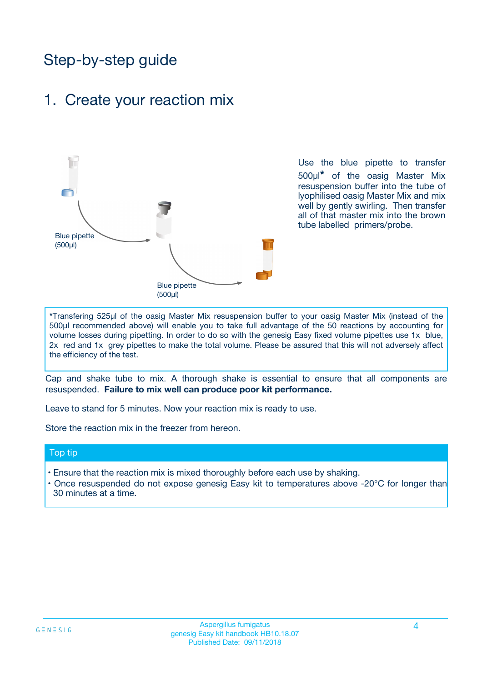## Step-by-step guide

### 1. Create your reaction mix



Use the blue pipette to transfer 500µl**\*** of the oasig Master Mix resuspension buffer into the tube of lyophilised oasig Master Mix and mix well by gently swirling. Then transfer all of that master mix into the brown tube labelled primers/probe.

**\***Transfering 525µl of the oasig Master Mix resuspension buffer to your oasig Master Mix (instead of the 500µl recommended above) will enable you to take full advantage of the 50 reactions by accounting for volume losses during pipetting. In order to do so with the genesig Easy fixed volume pipettes use 1x blue, 2x red and 1x grey pipettes to make the total volume. Please be assured that this will not adversely affect the efficiency of the test.

Cap and shake tube to mix. A thorough shake is essential to ensure that all components are resuspended. **Failure to mix well can produce poor kit performance.**

Leave to stand for 5 minutes. Now your reaction mix is ready to use.

Store the reaction mix in the freezer from hereon.

#### Top tip

- Ensure that the reaction mix is mixed thoroughly before each use by shaking.
- **•** Once resuspended do not expose genesig Easy kit to temperatures above -20°C for longer than 30 minutes at a time.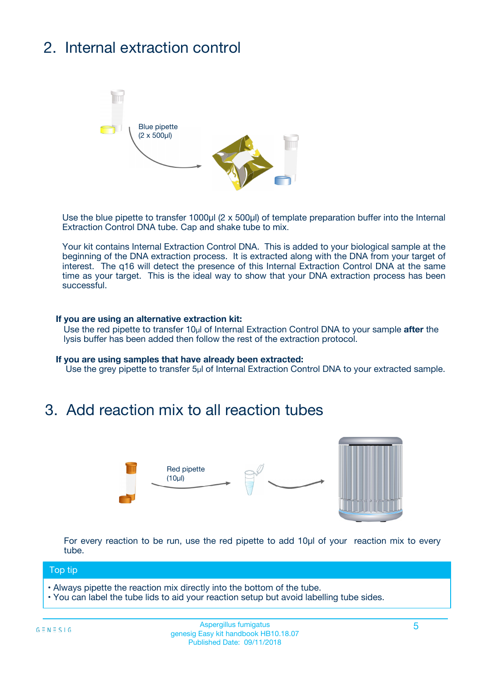# 2. Internal extraction control



Use the blue pipette to transfer 1000µl (2 x 500µl) of template preparation buffer into the Internal Extraction Control DNA tube. Cap and shake tube to mix.

Your kit contains Internal Extraction Control DNA. This is added to your biological sample at the beginning of the DNA extraction process. It is extracted along with the DNA from your target of interest. The q16 will detect the presence of this Internal Extraction Control DNA at the same time as your target. This is the ideal way to show that your DNA extraction process has been **successful.** 

#### **If you are using an alternative extraction kit:**

Use the red pipette to transfer 10µl of Internal Extraction Control DNA to your sample **after** the lysis buffer has been added then follow the rest of the extraction protocol.

#### **If you are using samples that have already been extracted:**

Use the grey pipette to transfer 5µl of Internal Extraction Control DNA to your extracted sample.

### 3. Add reaction mix to all reaction tubes



For every reaction to be run, use the red pipette to add 10µl of your reaction mix to every tube.

#### Top tip

- Always pipette the reaction mix directly into the bottom of the tube.
- You can label the tube lids to aid your reaction setup but avoid labelling tube sides.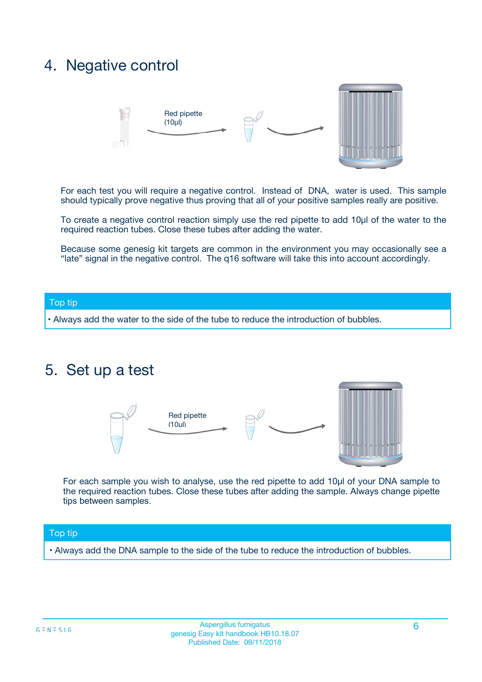### 4. Negative control



For each test you will require a negative control. Instead of DNA, water is used. This sample should typically prove negative thus proving that all of your positive samples really are positive.

To create a negative control reaction simply use the red pipette to add 10µl of the water to the required reaction tubes. Close these tubes after adding the water.

Because some genesig kit targets are common in the environment you may occasionally see a "late" signal in the negative control. The q16 software will take this into account accordingly.

#### Top tip

**•** Always add the water to the side of the tube to reduce the introduction of bubbles.

### 5. Set up a test



For each sample you wish to analyse, use the red pipette to add 10µl of your DNA sample to the required reaction tubes. Close these tubes after adding the sample. Always change pipette tips between samples.

#### Top tip

**•** Always add the DNA sample to the side of the tube to reduce the introduction of bubbles.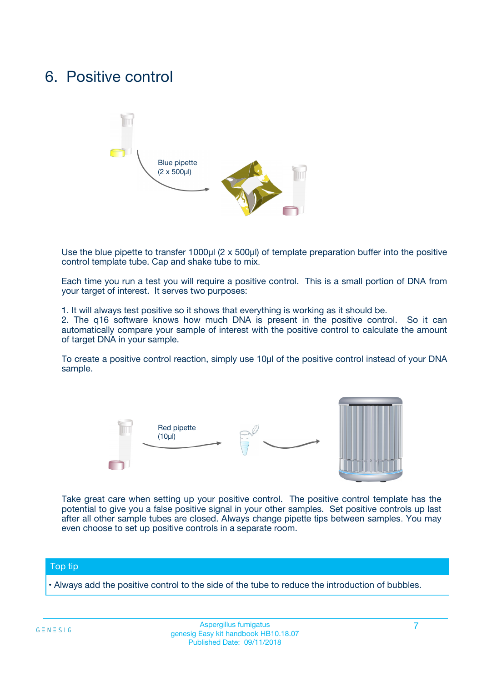### 6. Positive control



Use the blue pipette to transfer 1000µl (2 x 500µl) of template preparation buffer into the positive control template tube. Cap and shake tube to mix.

Each time you run a test you will require a positive control. This is a small portion of DNA from your target of interest. It serves two purposes:

1. It will always test positive so it shows that everything is working as it should be.

2. The q16 software knows how much DNA is present in the positive control. So it can automatically compare your sample of interest with the positive control to calculate the amount of target DNA in your sample.

To create a positive control reaction, simply use 10µl of the positive control instead of your DNA sample.



Take great care when setting up your positive control. The positive control template has the potential to give you a false positive signal in your other samples. Set positive controls up last after all other sample tubes are closed. Always change pipette tips between samples. You may even choose to set up positive controls in a separate room.

#### Top tip

**•** Always add the positive control to the side of the tube to reduce the introduction of bubbles.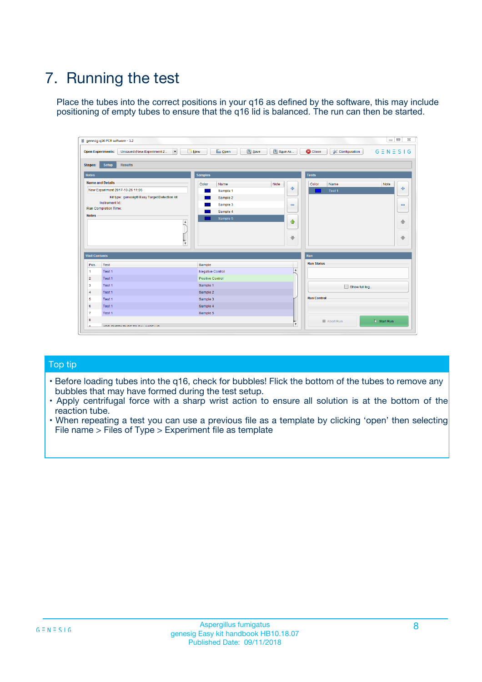# 7. Running the test

Place the tubes into the correct positions in your q16 as defined by the software, this may include positioning of empty tubes to ensure that the q16 lid is balanced. The run can then be started.

| genesig q16 PCR software - 1.2                                               |                                     | $\Box$                                                                                  |
|------------------------------------------------------------------------------|-------------------------------------|-----------------------------------------------------------------------------------------|
| Unsaved (New Experiment 2<br>$\vert \cdot \vert$<br><b>Open Experiments:</b> | <b>D</b> Open<br>Save<br>$\Box$ New | Save As<br><b>C</b> Close<br>$G \equiv N \equiv S \mid G$<br><b>&amp; Configuration</b> |
| Setup<br><b>Results</b><br><b>Stages:</b>                                    |                                     |                                                                                         |
| <b>Notes</b>                                                                 | Samples                             | <b>Tests</b>                                                                            |
| <b>Name and Details</b>                                                      | Color<br>Name                       | Note<br>Color<br>Note<br>Name                                                           |
| New Experiment 2017-10-26 11:06                                              | Sample 1                            | ع<br>条<br>Test 1                                                                        |
| Kit type: genesig® Easy Target Detection kit                                 | Sample 2                            |                                                                                         |
| Instrument Id.:                                                              | Sample 3                            | $\qquad \qquad \blacksquare$<br>$\qquad \qquad \blacksquare$                            |
| Run Completion Time:                                                         | Sample 4                            |                                                                                         |
| <b>Notes</b>                                                                 | Sample 5<br>A<br>v                  | $\triangle$<br>4<br>$\oplus$<br>₩                                                       |
| <b>Well Contents</b>                                                         |                                     | <b>Run</b>                                                                              |
| Pos.<br>Test                                                                 | Sample                              | <b>Run Status</b>                                                                       |
| Test 1<br>-1                                                                 | <b>Negative Control</b>             | $\blacktriangle$                                                                        |
| $\overline{2}$<br>Test 1                                                     | <b>Positive Control</b>             |                                                                                         |
| $\overline{\mathbf{3}}$<br>Test 1                                            | Sample 1                            | Show full log                                                                           |
| Test 1<br>$\overline{4}$                                                     | Sample 2                            |                                                                                         |
| 5<br>Test 1                                                                  | Sample 3                            | <b>Run Control</b>                                                                      |
| 6<br>Test 1                                                                  | Sample 4                            |                                                                                         |
| $\overline{7}$<br>Test 1                                                     | Sample 5                            |                                                                                         |
| 8                                                                            |                                     | $\triangleright$ Start Run<br>Abort Run                                                 |
| <b>JOD FURTY TUDE TO BUILDED IN</b>                                          |                                     | $\overline{\mathbf{v}}$                                                                 |

#### Top tip

- Before loading tubes into the q16, check for bubbles! Flick the bottom of the tubes to remove any bubbles that may have formed during the test setup.
- Apply centrifugal force with a sharp wrist action to ensure all solution is at the bottom of the reaction tube.
- When repeating a test you can use a previous file as a template by clicking 'open' then selecting File name > Files of Type > Experiment file as template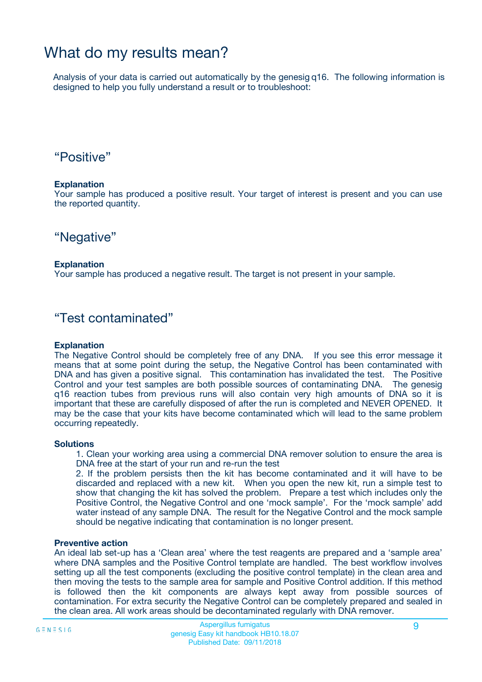## What do my results mean?

Analysis of your data is carried out automatically by the genesig q16. The following information is designed to help you fully understand a result or to troubleshoot:

### "Positive"

#### **Explanation**

Your sample has produced a positive result. Your target of interest is present and you can use the reported quantity.

"Negative"

#### **Explanation**

Your sample has produced a negative result. The target is not present in your sample.

### "Test contaminated"

#### **Explanation**

The Negative Control should be completely free of any DNA. If you see this error message it means that at some point during the setup, the Negative Control has been contaminated with DNA and has given a positive signal. This contamination has invalidated the test. The Positive Control and your test samples are both possible sources of contaminating DNA. The genesig q16 reaction tubes from previous runs will also contain very high amounts of DNA so it is important that these are carefully disposed of after the run is completed and NEVER OPENED. It may be the case that your kits have become contaminated which will lead to the same problem occurring repeatedly.

#### **Solutions**

1. Clean your working area using a commercial DNA remover solution to ensure the area is DNA free at the start of your run and re-run the test

2. If the problem persists then the kit has become contaminated and it will have to be discarded and replaced with a new kit. When you open the new kit, run a simple test to show that changing the kit has solved the problem. Prepare a test which includes only the Positive Control, the Negative Control and one 'mock sample'. For the 'mock sample' add water instead of any sample DNA. The result for the Negative Control and the mock sample should be negative indicating that contamination is no longer present.

#### **Preventive action**

An ideal lab set-up has a 'Clean area' where the test reagents are prepared and a 'sample area' where DNA samples and the Positive Control template are handled. The best workflow involves setting up all the test components (excluding the positive control template) in the clean area and then moving the tests to the sample area for sample and Positive Control addition. If this method is followed then the kit components are always kept away from possible sources of contamination. For extra security the Negative Control can be completely prepared and sealed in the clean area. All work areas should be decontaminated regularly with DNA remover.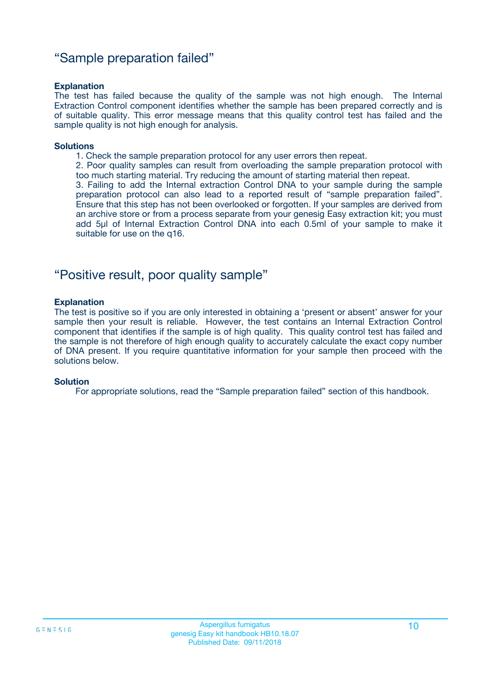### "Sample preparation failed"

#### **Explanation**

The test has failed because the quality of the sample was not high enough. The Internal Extraction Control component identifies whether the sample has been prepared correctly and is of suitable quality. This error message means that this quality control test has failed and the sample quality is not high enough for analysis.

#### **Solutions**

- 1. Check the sample preparation protocol for any user errors then repeat.
- 2. Poor quality samples can result from overloading the sample preparation protocol with too much starting material. Try reducing the amount of starting material then repeat.

3. Failing to add the Internal extraction Control DNA to your sample during the sample preparation protocol can also lead to a reported result of "sample preparation failed". Ensure that this step has not been overlooked or forgotten. If your samples are derived from an archive store or from a process separate from your genesig Easy extraction kit; you must add 5µl of Internal Extraction Control DNA into each 0.5ml of your sample to make it suitable for use on the q16.

### "Positive result, poor quality sample"

#### **Explanation**

The test is positive so if you are only interested in obtaining a 'present or absent' answer for your sample then your result is reliable. However, the test contains an Internal Extraction Control component that identifies if the sample is of high quality. This quality control test has failed and the sample is not therefore of high enough quality to accurately calculate the exact copy number of DNA present. If you require quantitative information for your sample then proceed with the solutions below.

#### **Solution**

For appropriate solutions, read the "Sample preparation failed" section of this handbook.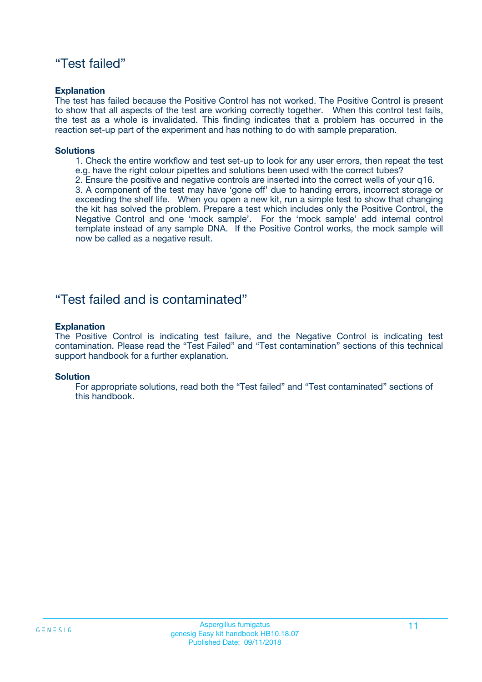### "Test failed"

#### **Explanation**

The test has failed because the Positive Control has not worked. The Positive Control is present to show that all aspects of the test are working correctly together. When this control test fails, the test as a whole is invalidated. This finding indicates that a problem has occurred in the reaction set-up part of the experiment and has nothing to do with sample preparation.

#### **Solutions**

- 1. Check the entire workflow and test set-up to look for any user errors, then repeat the test e.g. have the right colour pipettes and solutions been used with the correct tubes?
- 2. Ensure the positive and negative controls are inserted into the correct wells of your q16.

3. A component of the test may have 'gone off' due to handing errors, incorrect storage or exceeding the shelf life. When you open a new kit, run a simple test to show that changing the kit has solved the problem. Prepare a test which includes only the Positive Control, the Negative Control and one 'mock sample'. For the 'mock sample' add internal control template instead of any sample DNA. If the Positive Control works, the mock sample will now be called as a negative result.

### "Test failed and is contaminated"

#### **Explanation**

The Positive Control is indicating test failure, and the Negative Control is indicating test contamination. Please read the "Test Failed" and "Test contamination" sections of this technical support handbook for a further explanation.

#### **Solution**

For appropriate solutions, read both the "Test failed" and "Test contaminated" sections of this handbook.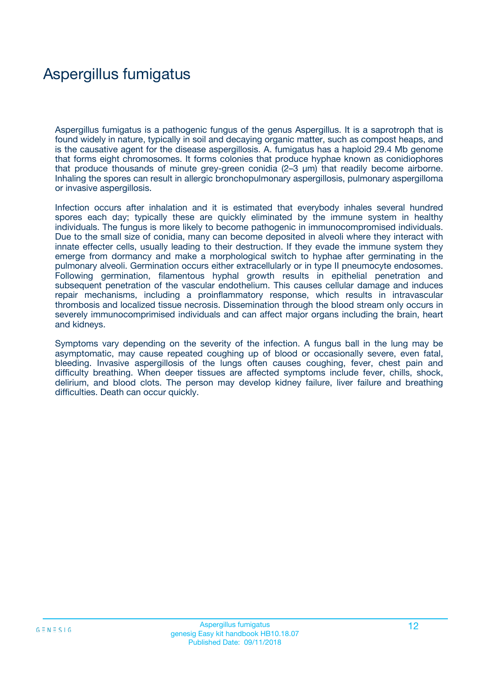## Aspergillus fumigatus

Aspergillus fumigatus is a pathogenic fungus of the genus Aspergillus. It is a saprotroph that is found widely in nature, typically in soil and decaying organic matter, such as compost heaps, and is the causative agent for the disease aspergillosis. A. fumigatus has a haploid 29.4 Mb genome that forms eight chromosomes. It forms colonies that produce hyphae known as conidiophores that produce thousands of minute grey-green conidia (2–3 μm) that readily become airborne. Inhaling the spores can result in allergic bronchopulmonary aspergillosis, pulmonary aspergilloma or invasive aspergillosis.

Infection occurs after inhalation and it is estimated that everybody inhales several hundred spores each day; typically these are quickly eliminated by the immune system in healthy individuals. The fungus is more likely to become pathogenic in immunocompromised individuals. Due to the small size of conidia, many can become deposited in alveoli where they interact with innate effecter cells, usually leading to their destruction. If they evade the immune system they emerge from dormancy and make a morphological switch to hyphae after germinating in the pulmonary alveoli. Germination occurs either extracellularly or in type II pneumocyte endosomes. Following germination, filamentous hyphal growth results in epithelial penetration and subsequent penetration of the vascular endothelium. This causes cellular damage and induces repair mechanisms, including a proinflammatory response, which results in intravascular thrombosis and localized tissue necrosis. Dissemination through the blood stream only occurs in severely immunocomprimised individuals and can affect major organs including the brain, heart and kidneys.

Symptoms vary depending on the severity of the infection. A fungus ball in the lung may be asymptomatic, may cause repeated coughing up of blood or occasionally severe, even fatal, bleeding. Invasive aspergillosis of the lungs often causes coughing, fever, chest pain and difficulty breathing. When deeper tissues are affected symptoms include fever, chills, shock, delirium, and blood clots. The person may develop kidney failure, liver failure and breathing difficulties. Death can occur quickly.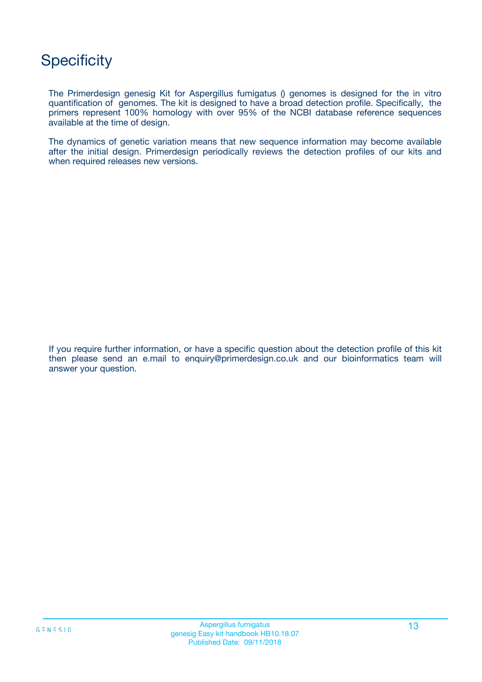## **Specificity**

The Primerdesign genesig Kit for Aspergillus fumigatus () genomes is designed for the in vitro quantification of genomes. The kit is designed to have a broad detection profile. Specifically, the primers represent 100% homology with over 95% of the NCBI database reference sequences available at the time of design.

The dynamics of genetic variation means that new sequence information may become available after the initial design. Primerdesign periodically reviews the detection profiles of our kits and when required releases new versions.

If you require further information, or have a specific question about the detection profile of this kit then please send an e.mail to enquiry@primerdesign.co.uk and our bioinformatics team will answer your question.